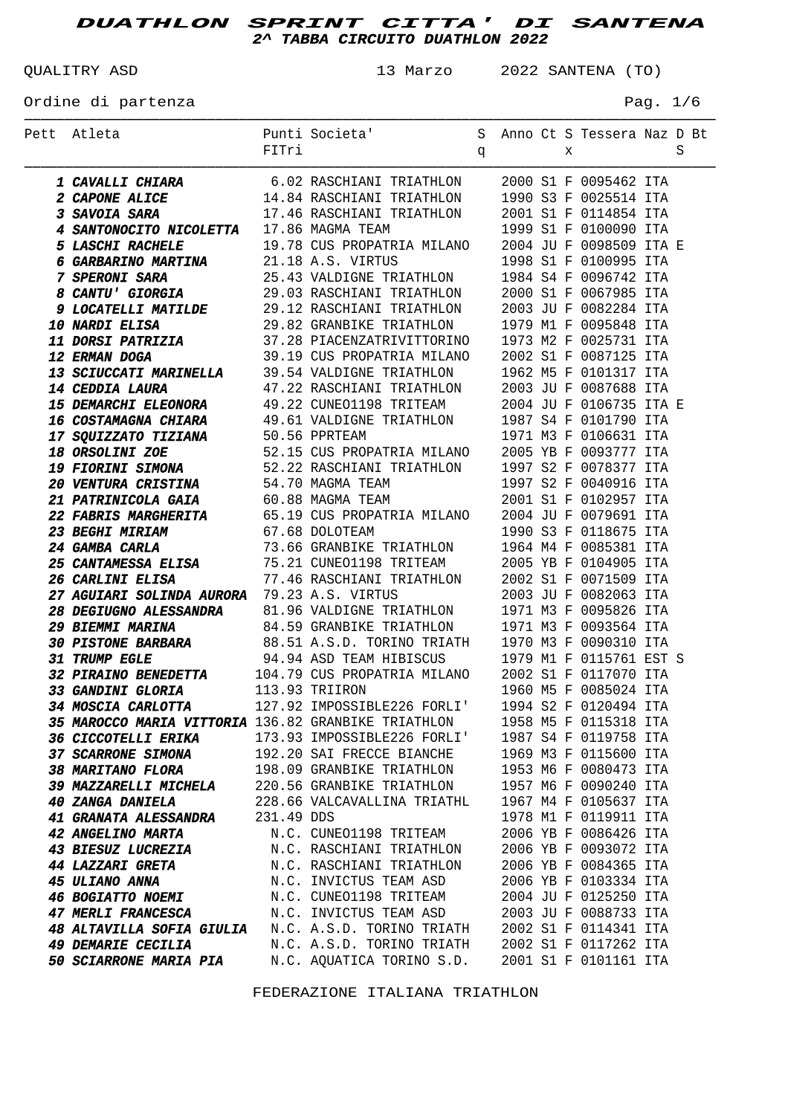QUALITRY ASD 13 Marzo 2022 SANTENA (TO)

Ordine di partenza  $P$ ag. 1/6

| Pett Atleta                                                                                                                                                                                                                                               |       | Punti Societa' S Anno Ct S Tessera Naz D Bt                                  |              |  |   |                         |   |
|-----------------------------------------------------------------------------------------------------------------------------------------------------------------------------------------------------------------------------------------------------------|-------|------------------------------------------------------------------------------|--------------|--|---|-------------------------|---|
|                                                                                                                                                                                                                                                           | FITri |                                                                              | $\mathbf{q}$ |  | X |                         | S |
|                                                                                                                                                                                                                                                           |       |                                                                              |              |  |   |                         |   |
| <b>1 CAVALLI CHIARA</b> 6.02 RASCHIANI TRIATHLON 2000 S1 F 0095462 ITA<br><b>2 CAPONE ALICE</b> 14.84 RASCHIANI TRIATHLON 1990 S3 F 0025514 ITA<br><b>3 SAVOIA SARA</b> 17.46 RASCHIANI TRIATHLON 2001 S1 F 0114854 ITA<br><b>4 SANTONOCITO NICOLETTA</b> |       |                                                                              |              |  |   |                         |   |
|                                                                                                                                                                                                                                                           |       |                                                                              |              |  |   |                         |   |
|                                                                                                                                                                                                                                                           |       |                                                                              |              |  |   |                         |   |
|                                                                                                                                                                                                                                                           |       |                                                                              |              |  |   |                         |   |
| 6 GARBARINO MARTINA                                                                                                                                                                                                                                       |       |                                                                              |              |  |   |                         |   |
| <b>6 GARBARINO MARTINA</b> 21.18 A.S. VIRTUS 1998 S1 F 0100995 ITA<br><b>7 SPERONI SARA</b> 25.43 VALDIGNE TRIATHLON 1984 S4 F 0096742 ITA<br><b>8 CANTU' GIORGIA</b> 29.03 RASCHIANI TRIATHLON 2000 S1 F 0067985 ITA                                     |       |                                                                              |              |  |   |                         |   |
|                                                                                                                                                                                                                                                           |       |                                                                              |              |  |   |                         |   |
|                                                                                                                                                                                                                                                           |       |                                                                              |              |  |   |                         |   |
|                                                                                                                                                                                                                                                           |       |                                                                              |              |  |   |                         |   |
|                                                                                                                                                                                                                                                           |       |                                                                              |              |  |   |                         |   |
|                                                                                                                                                                                                                                                           |       |                                                                              |              |  |   |                         |   |
|                                                                                                                                                                                                                                                           |       |                                                                              |              |  |   |                         |   |
| 9 LOCATELLI MATILDE<br>10 NARDI ELISA<br>10 NARDI ELISA<br>11 DORSI PATRIZIA<br>13 SCIUCCATE PATRIZIA<br>13 SCIUCCATE MARINELLA<br>13 SCIUCCATE MARINELLA<br>13 SCIUCCATE MARINELLA<br>13 SCIUCCATE MARINELLA<br>14 CEDDIA LAURA<br>14 CEDDIA LAUR        |       |                                                                              |              |  |   |                         |   |
|                                                                                                                                                                                                                                                           |       |                                                                              |              |  |   | 2004 JU F 0106735 ITA E |   |
|                                                                                                                                                                                                                                                           |       |                                                                              |              |  |   |                         |   |
|                                                                                                                                                                                                                                                           |       |                                                                              |              |  |   |                         |   |
| <b>17 SQUIZZATO TIZIANA</b> 50.56 PPRTEAM 1971 M3 F 0106631 ITA<br><b>18 ORSOLINI ZOE</b> 52.15 CUS PROPATRIA MILANO 2005 YB F 0093777 ITA<br><b>19 FIORINI SIMONA</b> 52.22 RASCHIANI TRIATHLON 1997 S2 F 0078377 ITA<br><b>19 PIORINI SIMONA</b> 54 TA  |       |                                                                              |              |  |   |                         |   |
|                                                                                                                                                                                                                                                           |       |                                                                              |              |  |   |                         |   |
|                                                                                                                                                                                                                                                           |       |                                                                              |              |  |   |                         |   |
| <b>20 VENTURA CRISTINA</b> 54.70 MAGMA TEAM 1997 S2 F 0040916 ITA<br><b>21 PATRINICOLA GAIA</b> 60.88 MAGMA TEAM 2001 S1 F 0102957 ITA<br><b>22 FABRIS MARGHERITA</b> 65.19 CUS PROPATRIA MILANO 2004 JU F 0079691 ITA                                    |       |                                                                              |              |  |   |                         |   |
|                                                                                                                                                                                                                                                           |       |                                                                              |              |  |   |                         |   |
| 67.68 DOLOTEAM<br><b>23 BEGHI MIRIAM</b>                                                                                                                                                                                                                  |       |                                                                              |              |  |   | 1990 S3 F 0118675 ITA   |   |
|                                                                                                                                                                                                                                                           |       |                                                                              |              |  |   |                         |   |
| <b>24 GAMBA CARLA</b> 73.66 GRANBIKE TRIATHLON 1964 M4 F 0085381 ITA<br><b>25 CANTAMESSA ELISA</b> 75.21 CUNEO1198 TRITEAM 2005 YB F 0104905 ITA                                                                                                          |       |                                                                              |              |  |   |                         |   |
| <b>26 CARLINI ELISA</b>                                                                                                                                                                                                                                   |       | 77.46 RASCHIANI TRIATHLON                                                    |              |  |   | 2002 S1 F 0071509 ITA   |   |
| 27 AGUIARI SOLINDA AURORA 79.23 A.S. VIRTUS                                                                                                                                                                                                               |       | 79.23 A.S. VIRTUS<br>81.96 VALDIGNE TRIATHLON                                |              |  |   | 2003 JU F 0082063 ITA   |   |
| <b>28 DEGIUGNO ALESSANDRA</b>                                                                                                                                                                                                                             |       |                                                                              |              |  |   | 1971 M3 F 0095826 ITA   |   |
| <b>29 BIEMMI MARINA 84.59 GRANBIKE TRIATHLON 1971 M3 F 0093564 ITA<br/> 30 PISTONE BARBARA 88.51 A.S.D. TORINO TRIATH 1970 M3 F 0090310 ITA<br/> 31 TRUMP EGLE 94.94 ASD TEAM HIBISCUS 1979 M1 F 0115761 EST S<br/> 32 PIRAINO BENEDETTA 104</b>          |       |                                                                              |              |  |   |                         |   |
|                                                                                                                                                                                                                                                           |       |                                                                              |              |  |   |                         |   |
|                                                                                                                                                                                                                                                           |       |                                                                              |              |  |   |                         |   |
|                                                                                                                                                                                                                                                           |       |                                                                              |              |  |   |                         |   |
| 33 GANDINI GLORIA 113.93 TRIIRON                                                                                                                                                                                                                          |       |                                                                              |              |  |   | 1960 M5 F 0085024 ITA   |   |
| 34 MOSCIA CARLOTTA 127.92 IMPOSSIBLE226 FORLI' 1994 S2 F 0120494 ITA                                                                                                                                                                                      |       |                                                                              |              |  |   |                         |   |
| 35 MAROCCO MARIA VITTORIA 136.82 GRANBIKE TRIATHLON                                                                                                                                                                                                       |       |                                                                              |              |  |   | 1958 M5 F 0115318 ITA   |   |
| <i><b>36 CICCOTELLI ERIKA</b></i>                                                                                                                                                                                                                         |       | 173.93 IMPOSSIBLE226 FORLI' 1987 S4 F 0119758 ITA                            |              |  |   |                         |   |
| <b>37 SCARRONE SIMONA</b><br><b>38 MARITANO FLORA</b>                                                                                                                                                                                                     |       | 192.20 SAI FRECCE BIANCHE 1969 M3 F 0115600 ITA<br>198.09 GRANBIKE TRIATHLON |              |  |   | 1953 M6 F 0080473 ITA   |   |
| 39 MAZZARELLI MICHELA 220.56 GRANBIKE TRIATHLON                                                                                                                                                                                                           |       |                                                                              |              |  |   | 1957 M6 F 0090240 ITA   |   |
| <b>40 ZANGA DANIELA</b>                                                                                                                                                                                                                                   |       |                                                                              |              |  |   |                         |   |
| 41 GRANATA ALESSANDRA 231.49 DDS                                                                                                                                                                                                                          |       | 228.66 VALCAVALLINA TRIATHL 1967 M4 F 0105637 ITA                            |              |  |   | 1978 M1 F 0119911 ITA   |   |
| <b>42 ANGELINO MARTA</b>                                                                                                                                                                                                                                  |       | N.C. CUNEO1198 TRITEAM                                                       |              |  |   | 2006 YB F 0086426 ITA   |   |
| <b>43 BIESUZ LUCREZIA</b>                                                                                                                                                                                                                                 |       | N.C. RASCHIANI TRIATHLON                                                     |              |  |   | 2006 YB F 0093072 ITA   |   |
| <b>44 LAZZARI GRETA</b>                                                                                                                                                                                                                                   |       | N.C. RASCHIANI TRIATHLON                                                     |              |  |   | 2006 YB F 0084365 ITA   |   |
| <b>45 ULIANO ANNA</b>                                                                                                                                                                                                                                     |       | N.C. INVICTUS TEAM ASD                                                       |              |  |   | 2006 YB F 0103334 ITA   |   |
| <b>46 BOGIATTO NOEMI</b>                                                                                                                                                                                                                                  |       | N.C. CUNEO1198 TRITEAM                                                       |              |  |   | 2004 JU F 0125250 ITA   |   |
| 47 MERLI FRANCESCA N.C. INVICTUS TEAM ASD                                                                                                                                                                                                                 |       |                                                                              |              |  |   | 2003 JU F 0088733 ITA   |   |
| 48 ALTAVILLA SOFIA GIULIA N.C. A.S.D. TORINO TRIATH                                                                                                                                                                                                       |       |                                                                              |              |  |   | 2002 S1 F 0114341 ITA   |   |
| <b>49 DEMARIE CECILIA</b>                                                                                                                                                                                                                                 |       | N.C. A.S.D. TORINO TRIATH                                                    |              |  |   | 2002 S1 F 0117262 ITA   |   |
| <b>50 SCIARRONE MARIA PIA</b>                                                                                                                                                                                                                             |       | N.C. AQUATICA TORINO S.D.                                                    |              |  |   | 2001 S1 F 0101161 ITA   |   |
|                                                                                                                                                                                                                                                           |       |                                                                              |              |  |   |                         |   |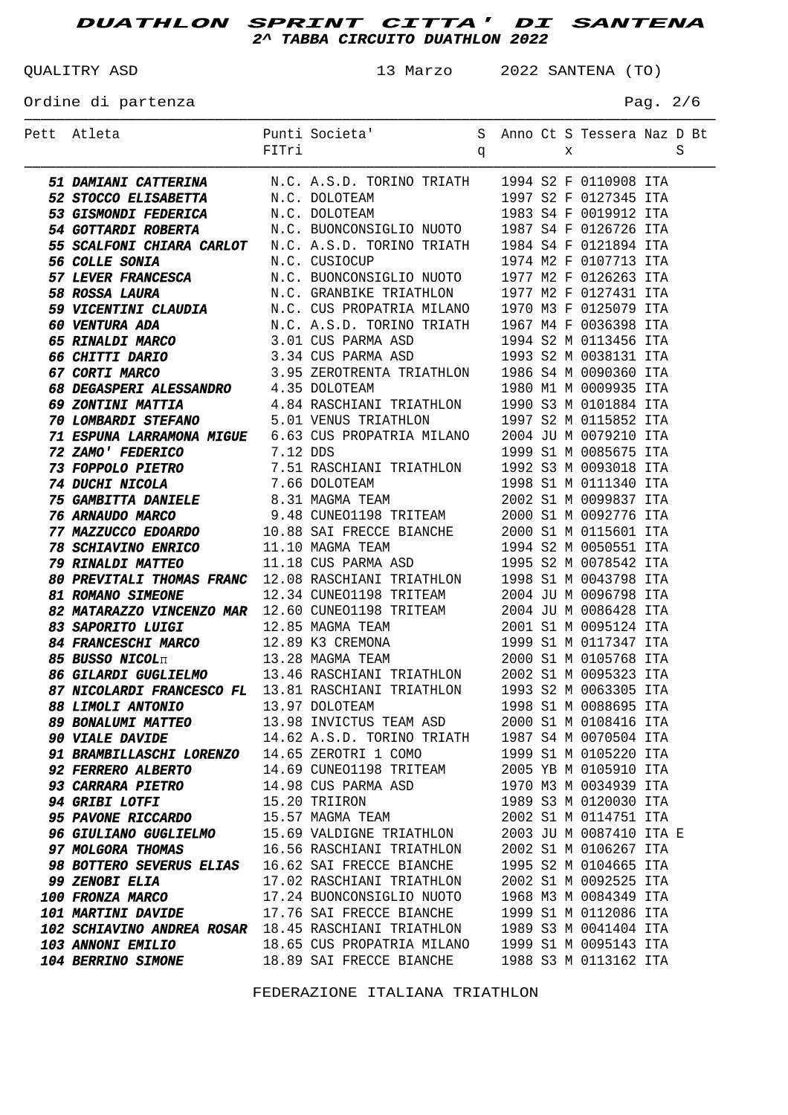QUALITRY ASD 13 Marzo 2022 SANTENA (TO)

Ordine di partenza  $P = 2/6$ 

| Pett Atleta                                                                                                                                                                                                                                                                                                                |          | Punti Societa' Sanno Ct S Tessera Naz D Bt<br>FITri |  |   |                         |   |
|----------------------------------------------------------------------------------------------------------------------------------------------------------------------------------------------------------------------------------------------------------------------------------------------------------------------------|----------|-----------------------------------------------------|--|---|-------------------------|---|
|                                                                                                                                                                                                                                                                                                                            | FITri    | $\mathbf{q}$                                        |  | X |                         | S |
|                                                                                                                                                                                                                                                                                                                            |          |                                                     |  |   |                         |   |
| 51 DAMIANI CATTERINA M.C. A.S.D. TORINO TRIATH 1994 S2 F 0110908 ITA                                                                                                                                                                                                                                                       |          |                                                     |  |   |                         |   |
| <b>52 STOCCO ELISABETTA</b>                                                                                                                                                                                                                                                                                                |          |                                                     |  |   | 1997 S2 F 0127345 ITA   |   |
| 52 SIUCCU ELLSABETTA N.C. DOLOTEAM<br>53 GISMONDI FEDERICA N.C. DOLOTEAM<br>54 SACRIMENTE DESCRIPTION N.C. DOLOTEAM                                                                                                                                                                                                        |          |                                                     |  |   | 1983 S4 F 0019912 ITA   |   |
| 53 CINNOMIC INSTITUTE MARKET MARKET MARKET MARKET MARKET MARKET N.C. BUONCONSIGLIO NUOTO 1987 S4 F 0126726 ITA                                                                                                                                                                                                             |          |                                                     |  |   |                         |   |
| 55 SCALFONI CHIARA CARLOT N.C. A.S.D. TORINO TRIATH 1984 S4 F 0121894 ITA                                                                                                                                                                                                                                                  |          |                                                     |  |   |                         |   |
| <b>56 COLLE SONIA</b><br>56 COLLE SONIA M.C. CUSIOCUP 1974 M2 F 0107713 ITA<br>57 LEVER FRANCESCA M.C. BUONCONSIGLIO NUOTO 1977 M2 F 0126263 ITA                                                                                                                                                                           |          | N.C. CUSIOCUP                                       |  |   | 1974 M2 F 0107713 ITA   |   |
|                                                                                                                                                                                                                                                                                                                            |          |                                                     |  |   |                         |   |
| 58 ROSSA LAURA                                                                                                                                                                                                                                                                                                             |          | N.C. GRANBIKE TRIATHLON 1977 M2 F 0127431 ITA       |  |   |                         |   |
| 59 VICENTINI CLAUDIA M.C. CUS PROPATRIA MILANO 1970 M3 F 0125079 ITA<br>60 VENTURA ADA M.C. A.S.D. TORINO TRIATH 1967 M4 F 0036398 ITA                                                                                                                                                                                     |          |                                                     |  |   |                         |   |
|                                                                                                                                                                                                                                                                                                                            |          |                                                     |  |   |                         |   |
|                                                                                                                                                                                                                                                                                                                            |          |                                                     |  |   |                         |   |
| <b>65 RINALDI MARCO</b> 3.01 CUS PARMA ASD 1994 S2 M 0113456 ITA<br><b>66 CHITTI DARIO</b> 3.34 CUS PARMA ASD 1993 S2 M 0038131 ITA<br><b>67 CORTI MARCO</b> 3.95 ZEROTRENTA TRIATHLON 1986 S4 M 0090360 ITA                                                                                                               |          |                                                     |  |   |                         |   |
|                                                                                                                                                                                                                                                                                                                            |          |                                                     |  |   | 1980 M1 M 0009935 ITA   |   |
| 68 DEGASPERI ALESSANDRO 4.35 DOLOTEAM                                                                                                                                                                                                                                                                                      |          |                                                     |  |   |                         |   |
| 69 ZONTINI MATTIA 4.84 RASCHIANI TRIATHLON 1990 S3 M 0101884 ITA                                                                                                                                                                                                                                                           |          |                                                     |  |   |                         |   |
| <b>70 LOMBARDI STEFANO</b> 5.01 VENUS TRIATHLON 1997 S2 M 0115852 ITA                                                                                                                                                                                                                                                      |          |                                                     |  |   |                         |   |
| 71 ESPUNA LARRAMONA MIGUE 6.63 CUS PROPATRIA MILANO 2004 JU M 0079210 ITA<br><i><b>72 ZAMO' FEDERICO</b></i>                                                                                                                                                                                                               |          |                                                     |  |   | 1999 S1 M 0085675 ITA   |   |
|                                                                                                                                                                                                                                                                                                                            | 7.12 DDS |                                                     |  |   |                         |   |
| <i><b>73 FOPPOLO PIETRO<br/>74 DUCHI NICOLA</b></i>                                                                                                                                                                                                                                                                        |          |                                                     |  |   |                         |   |
|                                                                                                                                                                                                                                                                                                                            |          |                                                     |  |   |                         |   |
|                                                                                                                                                                                                                                                                                                                            |          |                                                     |  |   |                         |   |
| <b>74 DUCHI NICOLA</b> 7.66 DOLOTEAM 1998 S1 M 0111340 ITA<br><b>75 GAMBITTA DANIELE</b> 8.31 MAGMA TEAM 2002 S1 M 0099837 ITA<br><b>76 ARNAUDO MARCO</b> 9.48 CUNEO1198 TRITEAM 2000 S1 M 0092776 ITA<br><b>77 MAZZUCCO EDOARDO</b> 10.88 SAI FRECCE BI                                                                   |          |                                                     |  |   |                         |   |
| <b>78 SCHIAVINO ENRICO</b> 11.10 MAGMA TEAM 1994 S2 M 0050551 ITA<br><b>79 RINALDI MATTEO</b> 11.18 CUS PARMA ASD 1995 S2 M 0078542 ITA                                                                                                                                                                                    |          |                                                     |  |   |                         |   |
|                                                                                                                                                                                                                                                                                                                            |          |                                                     |  |   |                         |   |
| 80 PREVITALI THOMAS FRANC 12.08 RASCHIANI TRIATHLON 1998 S1 M 0043798 ITA                                                                                                                                                                                                                                                  |          |                                                     |  |   |                         |   |
| <b>81 ROMANO SIMEONE</b>                                                                                                                                                                                                                                                                                                   |          | 12.34 CUNEO1198 TRITEAM 2004 JU M 0096798 ITA       |  |   |                         |   |
| 82 MATARAZZO VINCENZO MAR 12.60 CUNEO1198 TRITEAM 2004 JU M 0086428 ITA                                                                                                                                                                                                                                                    |          |                                                     |  |   |                         |   |
| <b>33 SAPORITO LUIGI</b><br><b>34 FRANCESCHI MARCO</b><br><b>35 BUSSO NICOL<sub>IT</sub><br/> <b>35 BUSSO NICOL<sub>IT</sub></b><br/> <b>36 GILARDI GUGLIELMO</b><br/> <b>37 NICOLARDI FRANCESCO FL</b><br/> <b>31.81 RASCHIANI TRIATHLON</b><br/> <b>3000 S1 M 0105768 ITA</b><br/> <b>367 NICOLARDI FRANCESCO FL</b></b> |          |                                                     |  |   |                         |   |
|                                                                                                                                                                                                                                                                                                                            |          |                                                     |  |   |                         |   |
|                                                                                                                                                                                                                                                                                                                            |          |                                                     |  |   |                         |   |
|                                                                                                                                                                                                                                                                                                                            |          |                                                     |  |   |                         |   |
|                                                                                                                                                                                                                                                                                                                            |          |                                                     |  |   |                         |   |
| 88 LIMOLI ANTONIO 13.97 DOLOTEAM                                                                                                                                                                                                                                                                                           |          |                                                     |  |   | 1998 S1 M 0088695 ITA   |   |
| <i><b>89 BONALUMI MATTEO</b></i>                                                                                                                                                                                                                                                                                           |          | 13.98 INVICTUS TEAM ASD                             |  |   | 2000 S1 M 0108416 ITA   |   |
| <b>90 VIALE DAVIDE</b>                                                                                                                                                                                                                                                                                                     |          | 14.62 A.S.D. TORINO TRIATH                          |  |   | 1987 S4 M 0070504 ITA   |   |
| 91 BRAMBILLASCHI LORENZO 14.65 ZEROTRI 1 COMO                                                                                                                                                                                                                                                                              |          |                                                     |  |   | 1999 S1 M 0105220 ITA   |   |
| <b>92 FERRERO ALBERTO</b>                                                                                                                                                                                                                                                                                                  |          | 14.69 CUNEO1198 TRITEAM                             |  |   | 2005 YB M 0105910 ITA   |   |
| <b>93 CARRARA PIETRO</b>                                                                                                                                                                                                                                                                                                   |          | 14.98 CUS PARMA ASD                                 |  |   | 1970 M3 M 0034939 ITA   |   |
| <b>94 GRIBI LOTFI</b>                                                                                                                                                                                                                                                                                                      |          | 15.20 TRIIRON                                       |  |   | 1989 S3 M 0120030 ITA   |   |
| <b>95 PAVONE RICCARDO</b>                                                                                                                                                                                                                                                                                                  |          | 15.57 MAGMA TEAM                                    |  |   | 2002 S1 M 0114751 ITA   |   |
| <b>96 GIULIANO GUGLIELMO</b>                                                                                                                                                                                                                                                                                               |          | 15.69 VALDIGNE TRIATHLON                            |  |   | 2003 JU M 0087410 ITA E |   |
| 97 MOLGORA THOMAS                                                                                                                                                                                                                                                                                                          |          | 16.56 RASCHIANI TRIATHLON                           |  |   | 2002 S1 M 0106267 ITA   |   |
| <b>98 BOTTERO SEVERUS ELIAS</b>                                                                                                                                                                                                                                                                                            |          | 16.62 SAI FRECCE BIANCHE                            |  |   | 1995 S2 M 0104665 ITA   |   |
| <b>99 ZENOBI ELIA</b>                                                                                                                                                                                                                                                                                                      |          | 17.02 RASCHIANI TRIATHLON                           |  |   | 2002 S1 M 0092525 ITA   |   |
| <b>100 FRONZA MARCO</b>                                                                                                                                                                                                                                                                                                    |          | 17.24 BUONCONSIGLIO NUOTO                           |  |   | 1968 M3 M 0084349 ITA   |   |
| <b>101 MARTINI DAVIDE</b>                                                                                                                                                                                                                                                                                                  |          | 17.76 SAI FRECCE BIANCHE                            |  |   | 1999 S1 M 0112086 ITA   |   |
| 102 SCHIAVINO ANDREA ROSAR 18.45 RASCHIANI TRIATHLON                                                                                                                                                                                                                                                                       |          |                                                     |  |   | 1989 S3 M 0041404 ITA   |   |
| <b>103 ANNONI EMILIO</b>                                                                                                                                                                                                                                                                                                   |          | 18.65 CUS PROPATRIA MILANO                          |  |   | 1999 S1 M 0095143 ITA   |   |
| <b>104 BERRINO SIMONE</b>                                                                                                                                                                                                                                                                                                  |          | 18.89 SAI FRECCE BIANCHE                            |  |   | 1988 S3 M 0113162 ITA   |   |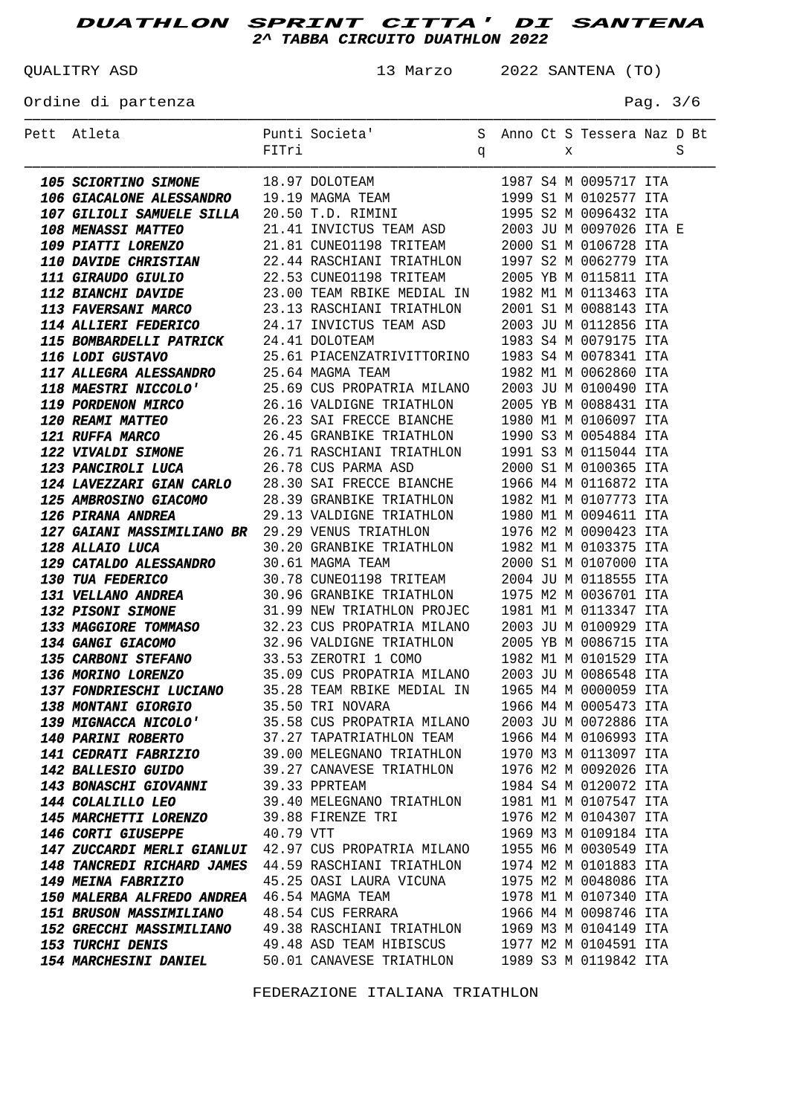QUALITRY ASD 13 Marzo 2022 SANTENA (TO)

Ordine di partenza  $P$ ag. 3/6

| Pett Atleta                                                                                                                                                                                                                                                                                                | FITri     | Punti Societa' Sanno Ct S Tessera Naz D Bt                                               |              |  |   |                       | S |
|------------------------------------------------------------------------------------------------------------------------------------------------------------------------------------------------------------------------------------------------------------------------------------------------------------|-----------|------------------------------------------------------------------------------------------|--------------|--|---|-----------------------|---|
|                                                                                                                                                                                                                                                                                                            |           |                                                                                          | $\mathbf{q}$ |  | X |                       |   |
| <b>105 SCIORTINO SIMONE</b><br><b>18.97 DOLOTEAM</b><br><b>1987 S4 M 0095717 ITA</b><br><b>106 GIACALONE ALESSANDRO</b><br><b>19.19 MAGMA TEAM</b><br><b>1999 S1 M 0102577 ITA</b><br><b>107 GILIOLI SAMUELE SILLA</b><br><b>20.50 T.D. RIMINI</b><br><b>21.41 INVICTUS TEAM ASD</b><br><b>2003</b>        |           |                                                                                          |              |  |   |                       |   |
|                                                                                                                                                                                                                                                                                                            |           |                                                                                          |              |  |   |                       |   |
|                                                                                                                                                                                                                                                                                                            |           |                                                                                          |              |  |   |                       |   |
|                                                                                                                                                                                                                                                                                                            |           |                                                                                          |              |  |   |                       |   |
| <b>109 PIATTI LORENZO</b>                                                                                                                                                                                                                                                                                  |           | 21.81 CUNEO1198 TRITEAM                                                                  |              |  |   | 2000 S1 M 0106728 ITA |   |
| 110 DAVIDE CHRISTIAN                                                                                                                                                                                                                                                                                       |           | 22.44 RASCHIANI TRIATHLON                                                                |              |  |   | 1997 S2 M 0062779 ITA |   |
|                                                                                                                                                                                                                                                                                                            |           |                                                                                          |              |  |   | 2005 YB M 0115811 ITA |   |
| <b>111 GIRAUDO GIULIO</b> 22.53 CUNEO1198 TRITEAM<br><b>112 BIANCHI DAVIDE</b> 23.00 TEAM RBIKE MEDIAL IN<br><b>113 FAVERSANI MARCO</b> 23.13 RASCHIANI TRIATHLON<br><b>114 ILLIARE REPRENTES</b>                                                                                                          |           |                                                                                          |              |  |   | 1982 M1 M 0113463 ITA |   |
|                                                                                                                                                                                                                                                                                                            |           |                                                                                          |              |  |   | 2001 S1 M 0088143 ITA |   |
| <b>114 ALLIERI FEDERICO</b> 24.17 INVICTUS TEAM ASD 2003 JU M 0112856 ITA<br><b>115 BOMBARDELLI PATRICK</b> 24.41 DOLOTEAM 1983 S4 M 0079175 ITA<br><b>116 LODI GUSTAVO</b> 25.61 PIACENZATRIVITTORINO 1983 S4 M 0078341 ITA<br><b>116 LODI GUSTAVO</b>                                                    |           |                                                                                          |              |  |   |                       |   |
|                                                                                                                                                                                                                                                                                                            |           |                                                                                          |              |  |   |                       |   |
|                                                                                                                                                                                                                                                                                                            |           |                                                                                          |              |  |   |                       |   |
|                                                                                                                                                                                                                                                                                                            |           |                                                                                          |              |  |   |                       |   |
|                                                                                                                                                                                                                                                                                                            |           |                                                                                          |              |  |   |                       |   |
|                                                                                                                                                                                                                                                                                                            |           |                                                                                          |              |  |   |                       |   |
|                                                                                                                                                                                                                                                                                                            |           |                                                                                          |              |  |   |                       |   |
|                                                                                                                                                                                                                                                                                                            |           |                                                                                          |              |  |   |                       |   |
|                                                                                                                                                                                                                                                                                                            |           |                                                                                          |              |  |   |                       |   |
|                                                                                                                                                                                                                                                                                                            |           |                                                                                          |              |  |   |                       |   |
|                                                                                                                                                                                                                                                                                                            |           |                                                                                          |              |  |   |                       |   |
| <b>117 ALLEGRA ALESSANDRO</b> 25.64 MAGMA TEAM<br><b>118 MAESTRI NICCOLO'</b> 25.69 CUS PROPATRIA MILANO 2003 JU M 0100490 ITA<br><b>119 PORDENON MIRCO</b> 26.16 VALDIGNE TRIATHLON 2005 YB M 0088431 ITA<br><b>120 REAMI MATTEO</b> 26.23 SAI FRECCE B<br>125 AMBROSINO GIACOMO 28.39 GRANBIKE TRIATHLON |           |                                                                                          |              |  |   |                       |   |
| <b>126 PIRANA ANDREA</b>                                                                                                                                                                                                                                                                                   |           |                                                                                          |              |  |   |                       |   |
| <b>126 PIRANA ANDREA</b> 29.13 VALDIGNE TRIATHLON 1980 M1 M 0094611 ITA<br><b>127 GAIANI MASSIMILIANO BR</b> 29.29 VENUS TRIATHLON 1976 M2 M 0090423 ITA                                                                                                                                                   |           |                                                                                          |              |  |   |                       |   |
| <b>128 ALLAIO LUCA</b>                                                                                                                                                                                                                                                                                     |           |                                                                                          |              |  |   |                       |   |
| <b>129 CATALDO ALESSANDRO</b> 30.61 MAGMA TEAM<br><b>130 TUA FEDERICO</b> 30.78 CUNEO1198 TRITEAM<br><b>131 VELLANO ANDREA</b> 30.96 GRANBIKE TRIATHLON<br><b>122 DIGANI GIMANE</b> 21.00 NEW TRIATHLON PROTEC                                                                                             |           | 30.20 GRANBIKE TRIATHLON 1982 M1 M 0103375 ITA<br>30.61 MAGMA TEAM 2000 S1 M 0107000 ITA |              |  |   |                       |   |
|                                                                                                                                                                                                                                                                                                            |           | 30.61 MAGMA TEAM 2000 S1 M 0107000 ITA<br>30.78 CUNEO1198 TRITEAM 2004 JU M 0118555 ITA  |              |  |   |                       |   |
|                                                                                                                                                                                                                                                                                                            |           |                                                                                          |              |  |   | 1975 M2 M 0036701 ITA |   |
| <b>132 PISONI SIMONE</b> 31.99 NEW TRIATHLON PROJEC                                                                                                                                                                                                                                                        |           |                                                                                          |              |  |   | 1981 M1 M 0113347 ITA |   |
| 133 MAGGIORE TOMMASO 32.23 CUS PROPATRIA MILANO                                                                                                                                                                                                                                                            |           |                                                                                          |              |  |   | 2003 JU M 0100929 ITA |   |
| <b>134 GANGI GIACOMO</b><br>135 CARBONI STEFANO<br>135 CARBONI STEFANO<br>136 MORINO LORENZO<br>137 FONDRIESCHI LUCIANO<br>137 TONDRIESCHI LUCIANO<br>137 TONDRIESCHI LUCIANO<br>137 TONDRIESCHI LUCIANO<br>138 MORINO 1965 M4 M 0000059 ITA<br>138 M                                                      |           |                                                                                          |              |  |   |                       |   |
|                                                                                                                                                                                                                                                                                                            |           |                                                                                          |              |  |   |                       |   |
|                                                                                                                                                                                                                                                                                                            |           |                                                                                          |              |  |   |                       |   |
|                                                                                                                                                                                                                                                                                                            |           |                                                                                          |              |  |   |                       |   |
| 138 MONTANI GIORGIO 635.50 TRI NOVARA 61966 M4 M 0005473 ITA                                                                                                                                                                                                                                               |           |                                                                                          |              |  |   |                       |   |
| <b>139 MIGNACCA NICOLO'</b>                                                                                                                                                                                                                                                                                |           | 35.58 CUS PROPATRIA MILANO                                                               |              |  |   | 2003 JU M 0072886 ITA |   |
| <b>140 PARINI ROBERTO</b>                                                                                                                                                                                                                                                                                  |           | 37.27 TAPATRIATHLON TEAM                                                                 |              |  |   | 1966 M4 M 0106993 ITA |   |
| <b>141 CEDRATI FABRIZIO</b>                                                                                                                                                                                                                                                                                |           | 39.00 MELEGNANO TRIATHLON                                                                |              |  |   | 1970 M3 M 0113097 ITA |   |
| <b>142 BALLESIO GUIDO</b>                                                                                                                                                                                                                                                                                  |           | 39.27 CANAVESE TRIATHLON                                                                 |              |  |   | 1976 M2 M 0092026 ITA |   |
| <b>143 BONASCHI GIOVANNI</b>                                                                                                                                                                                                                                                                               |           | 39.33 PPRTEAM                                                                            |              |  |   | 1984 S4 M 0120072 ITA |   |
| <b>144 COLALILLO LEO</b>                                                                                                                                                                                                                                                                                   |           | 39.40 MELEGNANO TRIATHLON                                                                |              |  |   | 1981 M1 M 0107547 ITA |   |
| <b>145 MARCHETTI LORENZO</b>                                                                                                                                                                                                                                                                               |           | 39.88 FIRENZE TRI                                                                        |              |  |   | 1976 M2 M 0104307 ITA |   |
| <b>146 CORTI GIUSEPPE</b>                                                                                                                                                                                                                                                                                  | 40.79 VTT |                                                                                          |              |  |   | 1969 M3 M 0109184 ITA |   |
| 147 ZUCCARDI MERLI GIANLUI 42.97 CUS PROPATRIA MILANO                                                                                                                                                                                                                                                      |           |                                                                                          |              |  |   | 1955 M6 M 0030549 ITA |   |
| 148 TANCREDI RICHARD JAMES 44.59 RASCHIANI TRIATHLON                                                                                                                                                                                                                                                       |           |                                                                                          |              |  |   | 1974 M2 M 0101883 ITA |   |
| 149 MEINA FABRIZIO                                                                                                                                                                                                                                                                                         |           | 45.25 OASI LAURA VICUNA                                                                  |              |  |   | 1975 M2 M 0048086 ITA |   |
| 150 MALERBA ALFREDO ANDREA                                                                                                                                                                                                                                                                                 |           | 46.54 MAGMA TEAM                                                                         |              |  |   | 1978 M1 M 0107340 ITA |   |
| <b>151 BRUSON MASSIMILIANO</b>                                                                                                                                                                                                                                                                             |           | 48.54 CUS FERRARA                                                                        |              |  |   | 1966 M4 M 0098746 ITA |   |
| <b>152 GRECCHI MASSIMILIANO</b>                                                                                                                                                                                                                                                                            |           | 49.38 RASCHIANI TRIATHLON                                                                |              |  |   | 1969 M3 M 0104149 ITA |   |
| <b>153 TURCHI DENIS</b>                                                                                                                                                                                                                                                                                    |           | 49.48 ASD TEAM HIBISCUS                                                                  |              |  |   | 1977 M2 M 0104591 ITA |   |
| <b>154 MARCHESINI DANIEL</b>                                                                                                                                                                                                                                                                               |           | 50.01 CANAVESE TRIATHLON                                                                 |              |  |   | 1989 S3 M 0119842 ITA |   |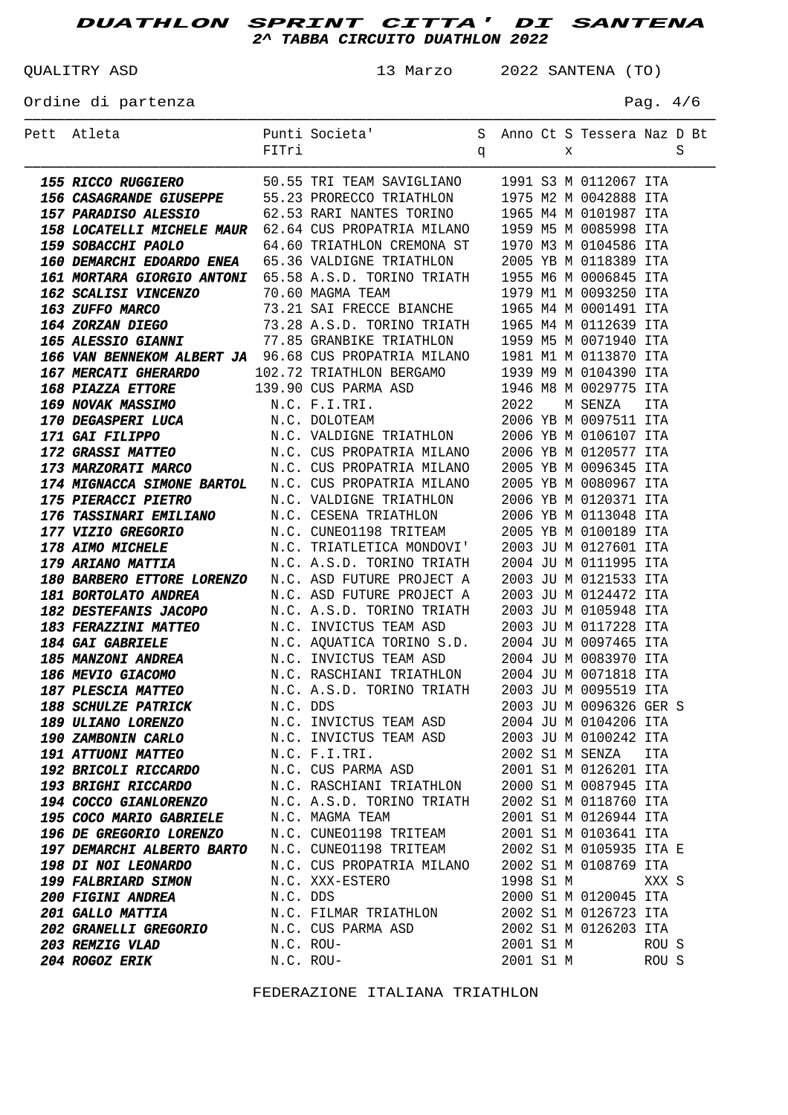QUALITRY ASD 13 Marzo 2022 SANTENA (TO)

Ordine di partenza  $P$ ag. 4/6

| Pett Atleta                                                                                                                                                                                                                                |           | Punti Societa' S Anno Ct S Tessera Naz D Bt |   |           |   |                                                |       |   |
|--------------------------------------------------------------------------------------------------------------------------------------------------------------------------------------------------------------------------------------------|-----------|---------------------------------------------|---|-----------|---|------------------------------------------------|-------|---|
|                                                                                                                                                                                                                                            | FITri     |                                             | q |           | X |                                                |       | S |
| <b>155 RECOMMEND 1988</b><br>166 CABAGEND 1991 S NOTE 1761 SAVIGELANO 1991 S NO12067 TR<br>156 CABAGENDE SUBERPE 55.23 PROFECO TRIATHLON 1975 N2 NO10288 TTA<br>156 CABAGENDE SUBERCO 65.53 RECORDINAL 11595 NE NO10387 TTA<br>156 IOCATEL |           |                                             |   |           |   |                                                |       |   |
|                                                                                                                                                                                                                                            |           |                                             |   |           |   |                                                |       |   |
|                                                                                                                                                                                                                                            |           |                                             |   |           |   |                                                |       |   |
|                                                                                                                                                                                                                                            |           |                                             |   |           |   |                                                |       |   |
|                                                                                                                                                                                                                                            |           |                                             |   |           |   |                                                |       |   |
|                                                                                                                                                                                                                                            |           |                                             |   |           |   |                                                |       |   |
|                                                                                                                                                                                                                                            |           |                                             |   |           |   |                                                |       |   |
|                                                                                                                                                                                                                                            |           |                                             |   |           |   |                                                |       |   |
|                                                                                                                                                                                                                                            |           |                                             |   |           |   |                                                |       |   |
|                                                                                                                                                                                                                                            |           |                                             |   |           |   |                                                |       |   |
|                                                                                                                                                                                                                                            |           |                                             |   |           |   |                                                |       |   |
|                                                                                                                                                                                                                                            |           |                                             |   |           |   |                                                |       |   |
|                                                                                                                                                                                                                                            |           |                                             |   |           |   |                                                |       |   |
|                                                                                                                                                                                                                                            |           |                                             |   |           |   |                                                |       |   |
|                                                                                                                                                                                                                                            |           |                                             |   |           |   |                                                |       |   |
|                                                                                                                                                                                                                                            |           |                                             |   |           |   |                                                |       |   |
|                                                                                                                                                                                                                                            |           |                                             |   |           |   |                                                |       |   |
|                                                                                                                                                                                                                                            |           |                                             |   |           |   |                                                |       |   |
|                                                                                                                                                                                                                                            |           |                                             |   |           |   |                                                |       |   |
|                                                                                                                                                                                                                                            |           |                                             |   |           |   |                                                |       |   |
|                                                                                                                                                                                                                                            |           |                                             |   |           |   |                                                |       |   |
|                                                                                                                                                                                                                                            |           |                                             |   |           |   |                                                |       |   |
|                                                                                                                                                                                                                                            |           |                                             |   |           |   |                                                |       |   |
|                                                                                                                                                                                                                                            |           |                                             |   |           |   |                                                |       |   |
|                                                                                                                                                                                                                                            |           |                                             |   |           |   |                                                |       |   |
|                                                                                                                                                                                                                                            |           |                                             |   |           |   |                                                |       |   |
|                                                                                                                                                                                                                                            |           |                                             |   |           |   |                                                |       |   |
|                                                                                                                                                                                                                                            |           |                                             |   |           |   |                                                |       |   |
|                                                                                                                                                                                                                                            |           |                                             |   |           |   |                                                |       |   |
|                                                                                                                                                                                                                                            |           |                                             |   |           |   |                                                |       |   |
|                                                                                                                                                                                                                                            |           |                                             |   |           |   |                                                |       |   |
| <b>184 GAI GABRIELE</b> M.C. AQUATICA TORINO S.D. 2004 JU M 0097465 ITA<br><b>185 MANZONI ANDREA</b> M.C. INVICTUS TEAM ASD 2004 JU M 0083970 ITA                                                                                          |           |                                             |   |           |   |                                                |       |   |
| <b>186 MEVIO GIACOMO</b><br><b>187 PLESCIA MATTEO</b><br><b>187 PLESCIA MATTEO</b><br><b>187 PLESCIA MATTEO</b><br><b>188 ACCORDINAL DESCRIPTION</b><br><b>188 ACCORDINAL DESCRIPTION</b><br><b>188 ACCORDINAL DESCRIPTION</b>             |           |                                             |   |           |   |                                                |       |   |
|                                                                                                                                                                                                                                            |           |                                             |   |           |   |                                                |       |   |
| <b>188 SCHULZE PATRICK</b>                                                                                                                                                                                                                 |           | N.C. DDS 2003 JU M 0096326 GER S            |   |           |   |                                                |       |   |
| <b>189 ULIANO LORENZO</b>                                                                                                                                                                                                                  |           | N.C. INVICTUS TEAM ASD                      |   |           |   | 2004 JU M 0104206 ITA                          |       |   |
| <b>190 ZAMBONIN CARLO</b>                                                                                                                                                                                                                  |           | N.C. INVICTUS TEAM ASD                      |   |           |   | 2003 JU M 0100242 ITA                          |       |   |
| <b>191 ATTUONI MATTEO</b>                                                                                                                                                                                                                  |           | N.C. F.I.TRI.                               |   |           |   | 2002 S1 M SENZA                                | ITA   |   |
| <b>192 BRICOLI RICCARDO</b>                                                                                                                                                                                                                |           | N.C. CUS PARMA ASD                          |   |           |   | 2001 S1 M 0126201 ITA                          |       |   |
| <b>193 BRIGHI RICCARDO</b>                                                                                                                                                                                                                 |           | N.C. RASCHIANI TRIATHLON                    |   |           |   | 2000 S1 M 0087945 ITA                          |       |   |
| <b>194 COCCO GIANLORENZO</b>                                                                                                                                                                                                               |           | N.C. A.S.D. TORINO TRIATH                   |   |           |   | 2002 S1 M 0118760 ITA                          |       |   |
| <b>195 COCO MARIO GABRIELE</b>                                                                                                                                                                                                             |           | N.C. MAGMA TEAM                             |   |           |   | 2001 S1 M 0126944 ITA                          |       |   |
| 196 DE GREGORIO LORENZO N.C. CUNEO1198 TRITEAM                                                                                                                                                                                             |           |                                             |   |           |   | 2001 S1 M 0103641 ITA                          |       |   |
| 197 DEMARCHI ALBERTO BARTO N.C. CUNEO1198 TRITEAM                                                                                                                                                                                          |           |                                             |   |           |   | 2002 S1 M 0105935 ITA E                        |       |   |
| <b>198 DI NOI LEONARDO</b>                                                                                                                                                                                                                 |           | N.C. CUS PROPATRIA MILANO                   |   |           |   | 2002 S1 M 0108769 ITA                          |       |   |
| <b>199 FALBRIARD SIMON</b>                                                                                                                                                                                                                 |           | N.C. XXX-ESTERO                             |   | 1998 S1 M |   |                                                | XXX S |   |
| <i><b>200 FIGINI ANDREA</b></i><br><b>201 GALLO MATTIA</b>                                                                                                                                                                                 | N.C. DDS  | N.C. FILMAR TRIATHLON                       |   |           |   | 2000 S1 M 0120045 ITA<br>2002 S1 M 0126723 ITA |       |   |
| <b>202 GRANELLI GREGORIO</b>                                                                                                                                                                                                               |           | N.C. CUS PARMA ASD                          |   |           |   | 2002 S1 M 0126203 ITA                          |       |   |
| <b>203 REMZIG VLAD</b>                                                                                                                                                                                                                     | N.C. ROU- |                                             |   | 2001 S1 M |   |                                                | ROU S |   |
| <b>204 ROGOZ ERIK</b>                                                                                                                                                                                                                      | N.C. ROU- |                                             |   | 2001 S1 M |   |                                                | ROU S |   |
|                                                                                                                                                                                                                                            |           |                                             |   |           |   |                                                |       |   |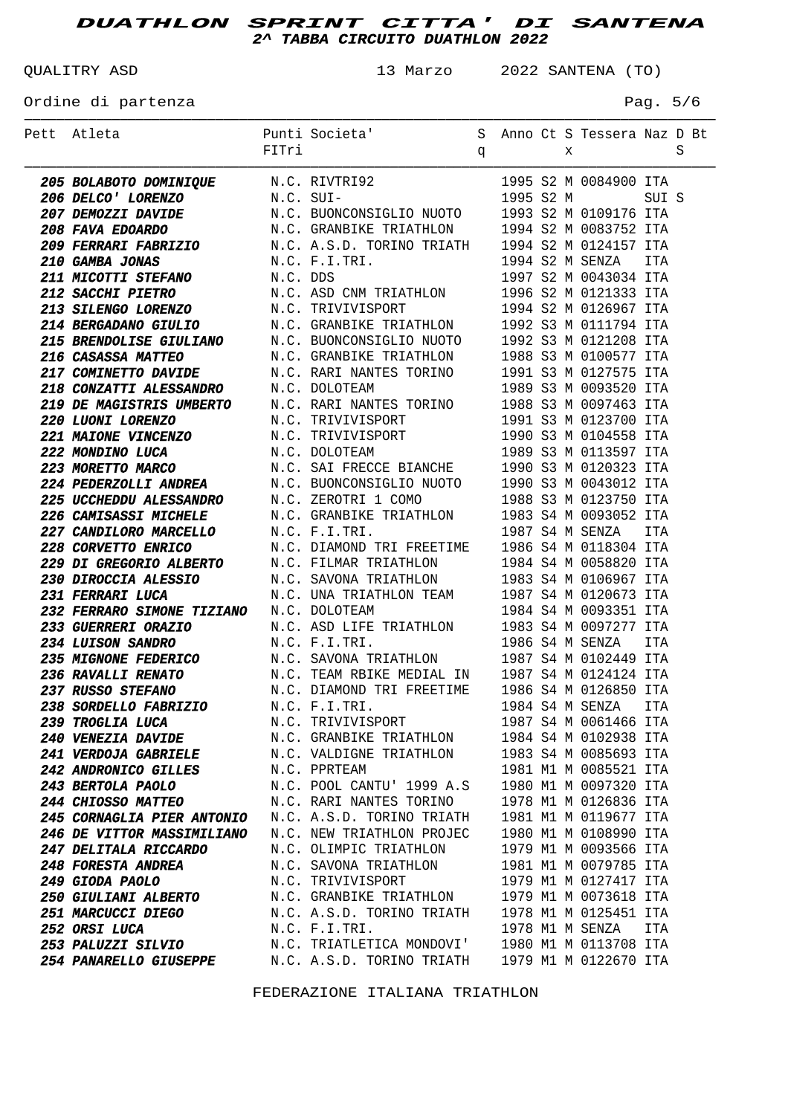QUALITRY ASD 13 Marzo 2022 SANTENA (TO)

## Ordine di partenza  $P = 5/6$

| Pett Atleta                                                                                                                                                                                                                                                                                        |                                                                                                    |  |  |                       |       |  |
|----------------------------------------------------------------------------------------------------------------------------------------------------------------------------------------------------------------------------------------------------------------------------------------------------|----------------------------------------------------------------------------------------------------|--|--|-----------------------|-------|--|
|                                                                                                                                                                                                                                                                                                    |                                                                                                    |  |  |                       |       |  |
| <b>205 BOLABOTO DOMINIQUE</b><br><b>205 BOLABOTO DOMINIQUE</b><br><b>206 DELCO' LORENZO</b><br><b>207 DEMOZZI DAVIDE</b><br><b>208 FAVA EDOARDO</b><br><b>N.C. SUIDENCONSIGLIO NUOTO</b><br><b>208 FAVA EDOARDO</b><br><b>N.C. GRANEIKE TRIATHLON</b><br><b>209 FERRARI FABRIZIO</b><br><b>N.C</b> |                                                                                                    |  |  |                       |       |  |
|                                                                                                                                                                                                                                                                                                    |                                                                                                    |  |  |                       | SUI S |  |
|                                                                                                                                                                                                                                                                                                    |                                                                                                    |  |  |                       |       |  |
|                                                                                                                                                                                                                                                                                                    |                                                                                                    |  |  |                       |       |  |
|                                                                                                                                                                                                                                                                                                    |                                                                                                    |  |  |                       |       |  |
|                                                                                                                                                                                                                                                                                                    |                                                                                                    |  |  |                       |       |  |
|                                                                                                                                                                                                                                                                                                    |                                                                                                    |  |  |                       |       |  |
|                                                                                                                                                                                                                                                                                                    |                                                                                                    |  |  |                       |       |  |
|                                                                                                                                                                                                                                                                                                    |                                                                                                    |  |  |                       |       |  |
|                                                                                                                                                                                                                                                                                                    |                                                                                                    |  |  |                       |       |  |
|                                                                                                                                                                                                                                                                                                    |                                                                                                    |  |  |                       |       |  |
|                                                                                                                                                                                                                                                                                                    |                                                                                                    |  |  |                       |       |  |
|                                                                                                                                                                                                                                                                                                    |                                                                                                    |  |  |                       |       |  |
|                                                                                                                                                                                                                                                                                                    |                                                                                                    |  |  |                       |       |  |
|                                                                                                                                                                                                                                                                                                    |                                                                                                    |  |  |                       |       |  |
|                                                                                                                                                                                                                                                                                                    |                                                                                                    |  |  |                       |       |  |
|                                                                                                                                                                                                                                                                                                    |                                                                                                    |  |  |                       |       |  |
|                                                                                                                                                                                                                                                                                                    |                                                                                                    |  |  |                       |       |  |
|                                                                                                                                                                                                                                                                                                    |                                                                                                    |  |  |                       |       |  |
|                                                                                                                                                                                                                                                                                                    |                                                                                                    |  |  |                       |       |  |
|                                                                                                                                                                                                                                                                                                    |                                                                                                    |  |  |                       |       |  |
| <b>214 BERGADANO GIULIO M.C. GRANBIKE TRIATHION</b> 1992 S3 M 0111794 ITA<br><b>215 BRENDOLISE GIUILIANO</b> M.C. BUONCONSIGLIO NUOTO 1992 S3 M 0120577 ITA<br><b>217 COMINETTO DAVIDE</b> M.C. BUONCONSIGLIO NUOTO 1992 S3 M 0100577 ITA<br><b>218 </b>                                           |                                                                                                    |  |  |                       |       |  |
|                                                                                                                                                                                                                                                                                                    |                                                                                                    |  |  | 1987 S4 M SENZA ITA   |       |  |
| <b>227 CANDILORO MARCELLO</b> M.C. F.I.TRI. 1987 S4 M SENZA ITA<br><b>228 CORVETTO ENRICO</b> M.C. DIAMOND TRI FREETIME 1986 S4 M 0118304 ITA<br><b>229 DI GREGORIO ALBERTO</b> M.C. FILMAR TRIATHLON 1984 S4 M 0058820 ITA<br><b>230 DIROCCIA ALESS</b>                                           |                                                                                                    |  |  |                       |       |  |
|                                                                                                                                                                                                                                                                                                    |                                                                                                    |  |  |                       |       |  |
| <b>231 FERRARI LUCA</b><br><b>EXERVARI LUCA</b><br><b>EXERVARIO SIMONE TIZIANO</b><br>N.C. DOLOTEAM<br>N.C. DOLOTEAM<br>N.C. ASD LIFE TRIATHLON 1983 S4 M 0093351 ITA<br><b>233 GUERRERI ORAZIO</b><br>N.C. ASD LIFE TRIATHLON 1983 S4 M 0097277 ITA<br><b>235 MIGNO</b>                           |                                                                                                    |  |  |                       |       |  |
|                                                                                                                                                                                                                                                                                                    |                                                                                                    |  |  |                       |       |  |
|                                                                                                                                                                                                                                                                                                    |                                                                                                    |  |  |                       |       |  |
|                                                                                                                                                                                                                                                                                                    |                                                                                                    |  |  |                       |       |  |
|                                                                                                                                                                                                                                                                                                    |                                                                                                    |  |  |                       |       |  |
| <b>ASSEMBED AND ANDRO</b><br><b>ASSEMBED AND AND AND ANCE AND AND AND AND AND ANCE SAVONA TRIATHLON</b><br><b>ASSEMBED AND ANCE AND ANCE AND ANCE AND AND TRIATHLON</b><br><b>ASSEMBED AND ANCE AND ANCE AND TRIANGED AND TRIANGED AND TRIANGED ANCE </b>                                          |                                                                                                    |  |  |                       |       |  |
|                                                                                                                                                                                                                                                                                                    |                                                                                                    |  |  |                       |       |  |
| <b>238 SORDELLO FABRIZIO</b>                                                                                                                                                                                                                                                                       | N.C. F.I.TRI. 1984 S4 M SENZA ITA                                                                  |  |  |                       |       |  |
| <i><b>239 TROGLIA LUCA</b></i>                                                                                                                                                                                                                                                                     | N.C. TRIVIVISPORT                                                                                  |  |  | 1987 S4 M 0061466 ITA |       |  |
| <b>240 VENEZIA DAVIDE</b>                                                                                                                                                                                                                                                                          | N.C. GRANBIKE TRIATHLON                                                                            |  |  | 1984 S4 M 0102938 ITA |       |  |
| <b>241 VERDOJA GABRIELE</b>                                                                                                                                                                                                                                                                        | N.C. VALDIGNE TRIATHLON                                                                            |  |  | 1983 S4 M 0085693 ITA |       |  |
| <b>242 ANDRONICO GILLES</b>                                                                                                                                                                                                                                                                        | N.C. PPRTEAM                                                                                       |  |  | 1981 M1 M 0085521 ITA |       |  |
| <b>243 BERTOLA PAOLO</b>                                                                                                                                                                                                                                                                           | N.C. POOL CANTU' 1999 A.S 1980 M1 M 0097320 ITA                                                    |  |  |                       |       |  |
| <b>244 CHIOSSO MATTEO</b>                                                                                                                                                                                                                                                                          | N.C. RARI NANTES TORINO 1978 M1 M 0126836 ITA                                                      |  |  |                       |       |  |
| <b>245 CORNAGLIA PIER ANTONIO</b>                                                                                                                                                                                                                                                                  | N.C. A.S.D. TORINO TRIATH 1981 M1 M 0119677 ITA<br>N.C. NEW TRIATHLON PROJEC 1980 M1 M 0108990 ITA |  |  |                       |       |  |
| 246 DE VITTOR MASSIMILIANO                                                                                                                                                                                                                                                                         |                                                                                                    |  |  |                       |       |  |
| <b>247 DELITALA RICCARDO</b>                                                                                                                                                                                                                                                                       | N.C. OLIMPIC TRIATHLON 1979 M1 M 0093566 ITA                                                       |  |  |                       |       |  |
| <b>248 FORESTA ANDREA</b>                                                                                                                                                                                                                                                                          | N.C. SAVONA TRIATHLON                                                                              |  |  | 1981 M1 M 0079785 ITA |       |  |
| <i><b>249 GIODA PAOLO</b></i>                                                                                                                                                                                                                                                                      | N.C. TRIVIVISPORT                                                                                  |  |  | 1979 M1 M 0127417 ITA |       |  |
| <i><b>250 GIULIANI ALBERTO</b></i>                                                                                                                                                                                                                                                                 | N.C. GRANBIKE TRIATHLON 1979 M1 M 0073618 ITA                                                      |  |  |                       |       |  |
| <i><b>251 MARCUCCI DIEGO</b></i>                                                                                                                                                                                                                                                                   | N.C. A.S.D. TORINO TRIATH 1978 M1 M 0125451 ITA                                                    |  |  |                       |       |  |
| 252 ORSI LUCA                                                                                                                                                                                                                                                                                      | N.C. F.I.TRI.                                                                                      |  |  | 1978 M1 M SENZA       | ITA   |  |
| <i><b>253 PALUZZI SILVIO</b></i>                                                                                                                                                                                                                                                                   | N.C. TRIATLETICA MONDOVI' 1980 M1 M 0113708 ITA                                                    |  |  |                       |       |  |
| <b>254 PANARELLO GIUSEPPE</b>                                                                                                                                                                                                                                                                      | N.C. A.S.D. TORINO TRIATH 1979 M1 M 0122670 ITA                                                    |  |  |                       |       |  |